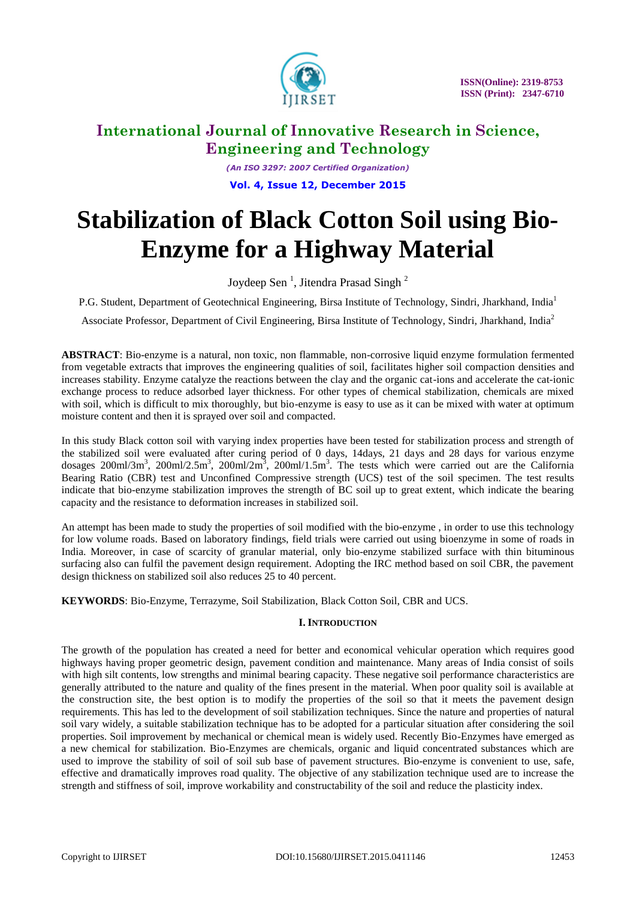

*(An ISO 3297: 2007 Certified Organization)* **Vol. 4, Issue 12, December 2015**

# **Stabilization of Black Cotton Soil using Bio-Enzyme for a Highway Material**

Joydeep Sen<sup>1</sup>, Jitendra Prasad Singh<sup>2</sup>

P.G. Student, Department of Geotechnical Engineering, Birsa Institute of Technology, Sindri, Jharkhand, India<sup>1</sup>

Associate Professor, Department of Civil Engineering, Birsa Institute of Technology, Sindri, Jharkhand, India<sup>2</sup>

**ABSTRACT**: Bio-enzyme is a natural, non toxic, non flammable, non-corrosive liquid enzyme formulation fermented from vegetable extracts that improves the engineering qualities of soil, facilitates higher soil compaction densities and increases stability. Enzyme catalyze the reactions between the clay and the organic cat-ions and accelerate the cat-ionic exchange process to reduce adsorbed layer thickness. For other types of chemical stabilization, chemicals are mixed with soil, which is difficult to mix thoroughly, but bio-enzyme is easy to use as it can be mixed with water at optimum moisture content and then it is sprayed over soil and compacted.

In this study Black cotton soil with varying index properties have been tested for stabilization process and strength of the stabilized soil were evaluated after curing period of 0 days, 14days, 21 days and 28 days for various enzyme dosages  $200$ ml/3m<sup>3</sup>,  $200$ ml/2.5m<sup>3</sup>,  $200$ ml/2m<sup>3</sup>,  $200$ ml/1.5m<sup>3</sup>. The tests which were carried out are the California Bearing Ratio (CBR) test and Unconfined Compressive strength (UCS) test of the soil specimen. The test results indicate that bio-enzyme stabilization improves the strength of BC soil up to great extent, which indicate the bearing capacity and the resistance to deformation increases in stabilized soil.

An attempt has been made to study the properties of soil modified with the bio-enzyme , in order to use this technology for low volume roads. Based on laboratory findings, field trials were carried out using bioenzyme in some of roads in India. Moreover, in case of scarcity of granular material, only bio-enzyme stabilized surface with thin bituminous surfacing also can fulfil the pavement design requirement. Adopting the IRC method based on soil CBR, the pavement design thickness on stabilized soil also reduces 25 to 40 percent.

**KEYWORDS**: Bio-Enzyme, Terrazyme, Soil Stabilization, Black Cotton Soil, CBR and UCS.

#### **I. INTRODUCTION**

The growth of the population has created a need for better and economical vehicular operation which requires good highways having proper geometric design, pavement condition and maintenance. Many areas of India consist of soils with high silt contents, low strengths and minimal bearing capacity. These negative soil performance characteristics are generally attributed to the nature and quality of the fines present in the material. When poor quality soil is available at the construction site, the best option is to modify the properties of the soil so that it meets the pavement design requirements. This has led to the development of soil stabilization techniques. Since the nature and properties of natural soil vary widely, a suitable stabilization technique has to be adopted for a particular situation after considering the soil properties. Soil improvement by mechanical or chemical mean is widely used. Recently Bio-Enzymes have emerged as a new chemical for stabilization. Bio-Enzymes are chemicals, organic and liquid concentrated substances which are used to improve the stability of soil of soil sub base of pavement structures. Bio-enzyme is convenient to use, safe, effective and dramatically improves road quality. The objective of any stabilization technique used are to increase the strength and stiffness of soil, improve workability and constructability of the soil and reduce the plasticity index.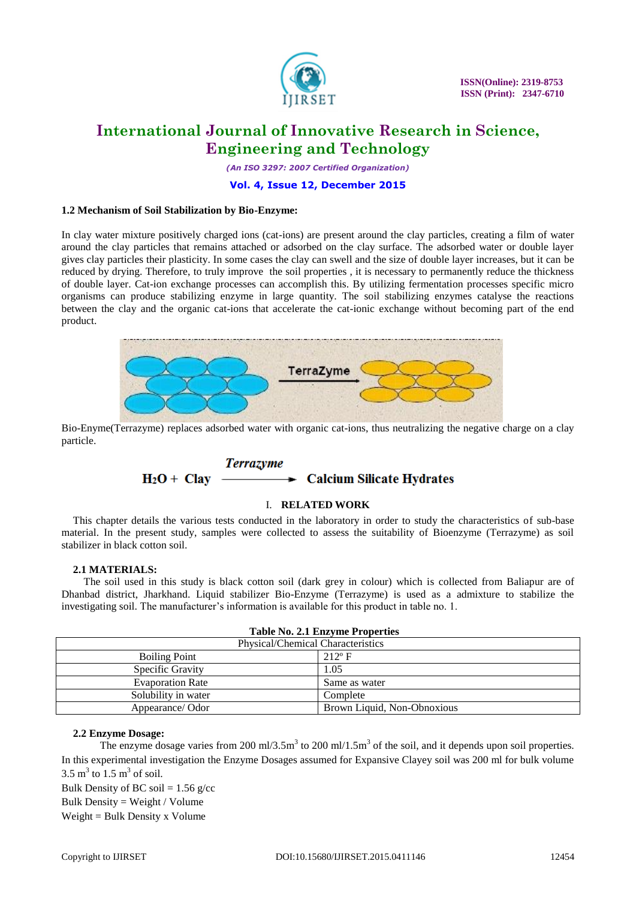

 **ISSN(Online): 2319-8753 ISSN (Print): 2347-6710** 

## **International Journal of Innovative Research in Science, Engineering and Technology**

*(An ISO 3297: 2007 Certified Organization)*

#### **Vol. 4, Issue 12, December 2015**

#### **1.2 Mechanism of Soil Stabilization by Bio-Enzyme:**

In clay water mixture positively charged ions (cat-ions) are present around the clay particles, creating a film of water around the clay particles that remains attached or adsorbed on the clay surface. The adsorbed water or double layer gives clay particles their plasticity. In some cases the clay can swell and the size of double layer increases, but it can be reduced by drying. Therefore, to truly improve the soil properties , it is necessary to permanently reduce the thickness of double layer. Cat-ion exchange processes can accomplish this. By utilizing fermentation processes specific micro organisms can produce stabilizing enzyme in large quantity. The soil stabilizing enzymes catalyse the reactions between the clay and the organic cat-ions that accelerate the cat-ionic exchange without becoming part of the end product.



Bio-Enyme(Terrazyme) replaces adsorbed water with organic cat-ions, thus neutralizing the negative charge on a clay particle.

#### **Terrazyme**  $\rightarrow$  Calcium Silicate Hydrates  $H_2O + Clav$

#### I. **RELATED WORK**

This chapter details the various tests conducted in the laboratory in order to study the characteristics of sub-base material. In the present study, samples were collected to assess the suitability of Bioenzyme (Terrazyme) as soil stabilizer in black cotton soil.

#### **2.1 MATERIALS:**

 The soil used in this study is black cotton soil (dark grey in colour) which is collected from Baliapur are of Dhanbad district, Jharkhand. Liquid stabilizer Bio-Enzyme (Terrazyme) is used as a admixture to stabilize the investigating soil. The manufacturer's information is available for this product in table no. 1.

| <b>Table No. 2.1 Enzyme Properties</b>  |                                          |  |  |  |
|-----------------------------------------|------------------------------------------|--|--|--|
|                                         | <b>Physical/Chemical Characteristics</b> |  |  |  |
| $212^{\circ}$ F<br><b>Boiling Point</b> |                                          |  |  |  |
| Specific Gravity                        | 1.05                                     |  |  |  |
| <b>Evaporation Rate</b>                 | Same as water                            |  |  |  |
| Solubility in water                     | Complete                                 |  |  |  |
| Appearance/Odor                         | Brown Liquid, Non-Obnoxious              |  |  |  |

#### **2.2 Enzyme Dosage:**

The enzyme dosage varies from 200 ml/3.5m<sup>3</sup> to 200 ml/1.5m<sup>3</sup> of the soil, and it depends upon soil properties. In this experimental investigation the Enzyme Dosages assumed for Expansive Clayey soil was 200 ml for bulk volume  $3.5 \text{ m}^3$  to  $1.5 \text{ m}^3$  of soil.

Bulk Density of BC soil =  $1.56$  g/cc Bulk Density = Weight / Volume  $Weight = Bulk Density x Volume$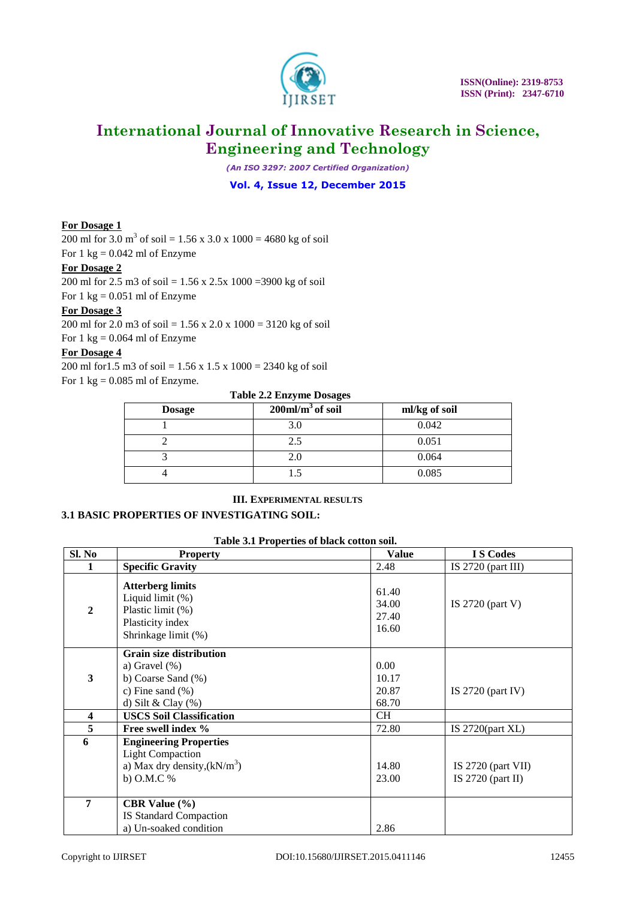

*(An ISO 3297: 2007 Certified Organization)*

**Vol. 4, Issue 12, December 2015**

#### **For Dosage 1**

200 ml for 3.0 m<sup>3</sup> of soil = 1.56 x 3.0 x 1000 = 4680 kg of soil For  $1 \text{ kg} = 0.042 \text{ ml of Enzyme}$ 

#### **For Dosage 2**

200 ml for 2.5 m3 of soil = 1.56 x 2.5x 1000 =3900 kg of soil

For  $1 \text{ kg} = 0.051 \text{ ml of Enzyme}$ 

#### **For Dosage 3**

200 ml for 2.0 m3 of soil = 1.56 x 2.0 x 1000 = 3120 kg of soil For  $1 \text{ kg} = 0.064 \text{ ml of }$  Enzyme

### **For Dosage 4**

200 ml for1.5 m3 of soil = 1.56 x 1.5 x 1000 = 2340 kg of soil For  $1 \text{ kg} = 0.085 \text{ ml of Enzyme.}$ 

#### **Table 2.2 Enzyme Dosages**

| <b>Dosage</b> | $200$ ml/m <sup>3</sup> of soil | ml/kg of soil |
|---------------|---------------------------------|---------------|
|               | 3.0                             | 0.042         |
|               | 2.5                             | 0.051         |
|               | 2.0                             | 0.064         |
|               |                                 | 0.085         |

#### **III. EXPERIMENTAL RESULTS**

#### **3.1 BASIC PROPERTIES OF INVESTIGATING SOIL:**

#### **Table 3.1 Properties of black cotton soil.**

| Sl. No                  | <b>Property</b>                                                                                                            | <b>Value</b>                     | <b>IS</b> Codes                             |
|-------------------------|----------------------------------------------------------------------------------------------------------------------------|----------------------------------|---------------------------------------------|
|                         | <b>Specific Gravity</b>                                                                                                    | 2.48                             | IS $2720$ (part III)                        |
| $\overline{2}$          | <b>Atterberg limits</b><br>Liquid limit (%)<br>Plastic limit (%)<br>Plasticity index<br>Shrinkage limit (%)                | 61.40<br>34.00<br>27.40<br>16.60 | IS $2720$ (part V)                          |
| 3                       | <b>Grain size distribution</b><br>a) Gravel $(\%)$<br>b) Coarse Sand (%)<br>c) Fine sand $(\% )$<br>d) Silt & Clay $(\% )$ | 0.00<br>10.17<br>20.87<br>68.70  | IS $2720$ (part IV)                         |
| $\overline{\mathbf{4}}$ | <b>USCS Soil Classification</b>                                                                                            | CH.                              |                                             |
| $\overline{5}$          | Free swell index %                                                                                                         | 72.80                            | IS $2720$ (part XL)                         |
| 6                       | <b>Engineering Properties</b><br><b>Light Compaction</b><br>a) Max dry density, $(kN/m^3)$<br>b) O.M.C %                   | 14.80<br>23.00                   | IS $2720$ (part VII)<br>IS $2720$ (part II) |
| 7                       | <b>CBR</b> Value $(\% )$<br>IS Standard Compaction<br>a) Un-soaked condition                                               | 2.86                             |                                             |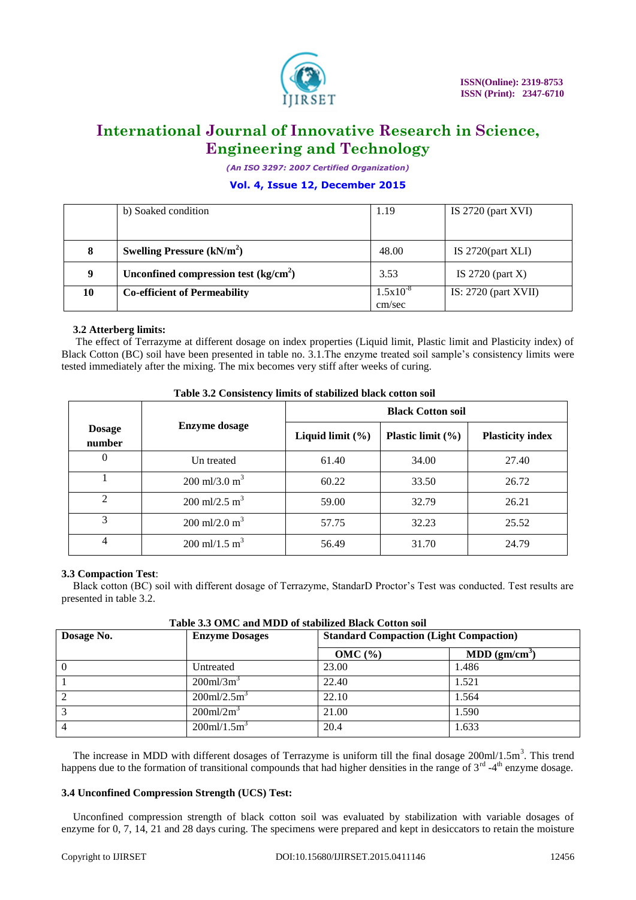

*(An ISO 3297: 2007 Certified Organization)*

#### **Vol. 4, Issue 12, December 2015**

|    | b) Soaked condition                    | 1.19                    | IS $2720$ (part XVI)   |
|----|----------------------------------------|-------------------------|------------------------|
|    |                                        |                         |                        |
| 8  | Swelling Pressure $(kN/m2)$            | 48.00                   | IS $2720$ (part XLI)   |
| 9  | Unconfined compression test $(kg/cm2)$ | 3.53                    | IS $2720$ (part X)     |
| 10 | <b>Co-efficient of Permeability</b>    | $1.5x10^{-8}$<br>cm/sec | IS: $2720$ (part XVII) |

#### **3.2 Atterberg limits:**

The effect of Terrazyme at different dosage on index properties (Liquid limit, Plastic limit and Plasticity index) of Black Cotton (BC) soil have been presented in table no. 3.1.The enzyme treated soil sample's consistency limits were tested immediately after the mixing. The mix becomes very stiff after weeks of curing.

|                                                 |                                  | <b>Black Cotton soil</b> |                       |                         |  |
|-------------------------------------------------|----------------------------------|--------------------------|-----------------------|-------------------------|--|
| <b>Enzyme dosage</b><br><b>Dosage</b><br>number |                                  | Liquid limit $(\%)$      | Plastic limit $(\% )$ | <b>Plasticity index</b> |  |
| $\Omega$                                        | Un treated                       | 61.40                    | 34.00                 | 27.40                   |  |
|                                                 | $200 \text{ ml}/3.0 \text{ m}^3$ | 60.22                    | 33.50                 | 26.72                   |  |
| $\mathfrak{D}$                                  | $200 \text{ ml}/2.5 \text{ m}^3$ | 59.00                    | 32.79                 | 26.21                   |  |
| 3                                               | $200 \text{ ml}/2.0 \text{ m}^3$ | 57.75                    | 32.23                 | 25.52                   |  |
| 4                                               | 200 ml/1.5 m <sup>3</sup>        | 56.49                    | 31.70                 | 24.79                   |  |

| Table 3.2 Consistency limits of stabilized black cotton soil |
|--------------------------------------------------------------|
|--------------------------------------------------------------|

#### **3.3 Compaction Test**:

Black cotton (BC) soil with different dosage of Terrazyme, StandarD Proctor's Test was conducted. Test results are presented in table 3.2.

| Dosage No. | <b>Enzyme Dosages</b>      | <b>Standard Compaction (Light Compaction)</b> |                           |  |
|------------|----------------------------|-----------------------------------------------|---------------------------|--|
|            |                            | OMC (%)                                       | MDD (gm/cm <sup>3</sup> ) |  |
| $\Omega$   | Untreated                  | 23.00                                         | 1.486                     |  |
|            | $200$ ml/3m <sup>3</sup>   | 22.40                                         | 1.521                     |  |
|            | $200$ ml/2.5m <sup>3</sup> | 22.10                                         | 1.564                     |  |
|            | $200$ ml/ $2m3$            | 21.00                                         | 1.590                     |  |
|            | $200$ ml/1.5m <sup>3</sup> | 20.4                                          | 1.633                     |  |

**Table 3.3 OMC and MDD of stabilized Black Cotton soil**

The increase in MDD with different dosages of Terrazyme is uniform till the final dosage  $200$ ml/ $1.5$ m<sup>3</sup>. This trend happens due to the formation of transitional compounds that had higher densities in the range of  $3<sup>rd</sup>$  -4<sup>th</sup> enzyme dosage.

#### **3.4 Unconfined Compression Strength (UCS) Test:**

Unconfined compression strength of black cotton soil was evaluated by stabilization with variable dosages of enzyme for 0, 7, 14, 21 and 28 days curing. The specimens were prepared and kept in desiccators to retain the moisture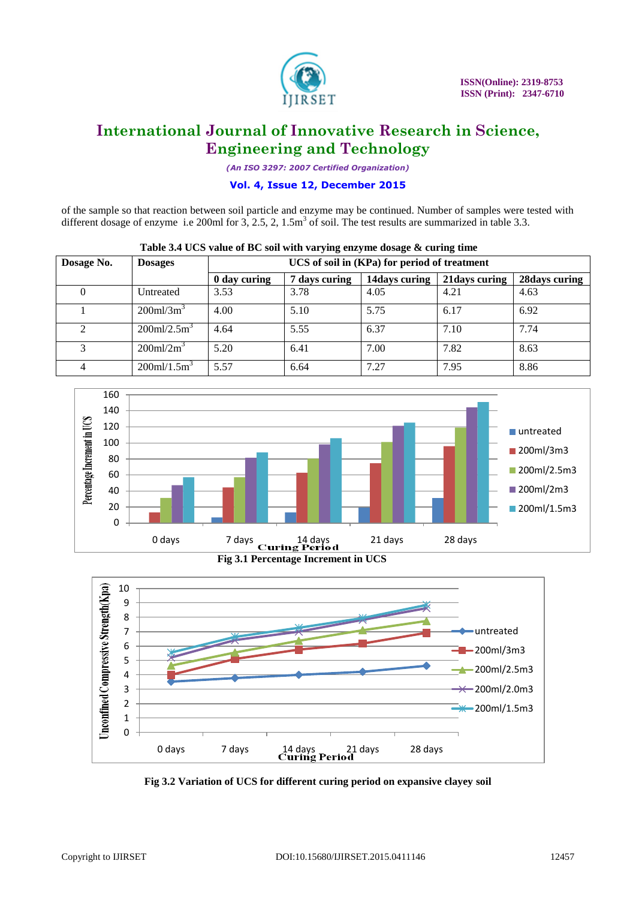

*(An ISO 3297: 2007 Certified Organization)*

#### **Vol. 4, Issue 12, December 2015**

of the sample so that reaction between soil particle and enzyme may be continued. Number of samples were tested with different dosage of enzyme i.e 200ml for  $3, 2.5, 2, 1.5m<sup>3</sup>$  of soil. The test results are summarized in table 3.3.

| Dosage No. | <b>Dosages</b>                 | UCS of soil in (KPa) for period of treatment                                       |      |      |      |      |
|------------|--------------------------------|------------------------------------------------------------------------------------|------|------|------|------|
|            |                                | 28 days curing<br>14days curing<br>7 days curing<br>21 days curing<br>0 day curing |      |      |      |      |
|            | Untreated                      | 3.53                                                                               | 3.78 | 4.05 | 4.21 | 4.63 |
|            | $200$ ml/ $3m3$                | 4.00                                                                               | 5.10 | 5.75 | 6.17 | 6.92 |
|            | $200$ ml/2.5m <sup>3</sup>     | 4.64                                                                               | 5.55 | 6.37 | 7.10 | 7.74 |
| 3          | $200$ ml/ $2m3$                | 5.20                                                                               | 6.41 | 7.00 | 7.82 | 8.63 |
|            | $200$ ml/ $1.5$ m <sup>3</sup> | 5.57                                                                               | 6.64 | 7.27 | 7.95 | 8.86 |

| Table 3.4 UCS value of BC soil with varying enzyme dosage & curing time |
|-------------------------------------------------------------------------|
|-------------------------------------------------------------------------|





**Fig 3.2 Variation of UCS for different curing period on expansive clayey soil**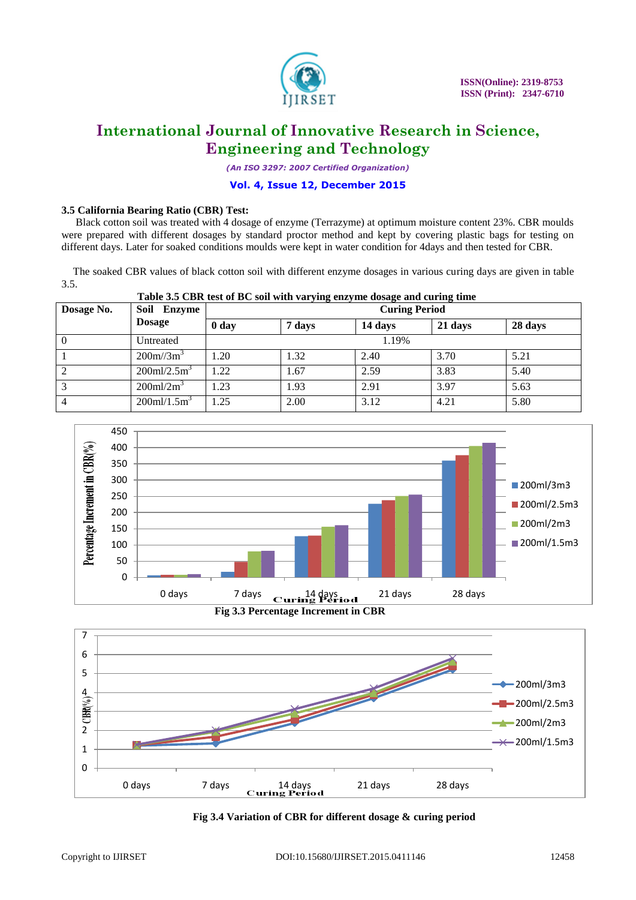

*(An ISO 3297: 2007 Certified Organization)*

#### **Vol. 4, Issue 12, December 2015**

#### **3.5 California Bearing Ratio (CBR) Test:**

Black cotton soil was treated with 4 dosage of enzyme (Terrazyme) at optimum moisture content 23%. CBR moulds were prepared with different dosages by standard proctor method and kept by covering plastic bags for testing on different days. Later for soaked conditions moulds were kept in water condition for 4days and then tested for CBR.

The soaked CBR values of black cotton soil with different enzyme dosages in various curing days are given in table 3.5.

#### **Table 3.5 CBR test of BC soil with varying enzyme dosage and curing time**

| Dosage No.     | Soil<br>Enzyme             | ້<br><b>Curing Period</b> |        |         |         |         |
|----------------|----------------------------|---------------------------|--------|---------|---------|---------|
|                | <b>Dosage</b>              | 0 <sub>day</sub>          | 7 days | 14 days | 21 days | 28 days |
| $\bf{0}$       | Untreated                  | 1.19%                     |        |         |         |         |
|                | $200m/(3m^3)$              | .20                       | 1.32   | 2.40    | 3.70    | 5.21    |
| $\overline{c}$ | $200$ ml/2.5m <sup>3</sup> | .22                       | 1.67   | 2.59    | 3.83    | 5.40    |
| 3              | $200$ ml/ $2m3$            | .23                       | 1.93   | 2.91    | 3.97    | 5.63    |
|                | $200$ ml/1.5m <sup>3</sup> | .25                       | 2.00   | 3.12    | 4.21    | 5.80    |



 **Fig 3.3 Percentage Increment in CBR**